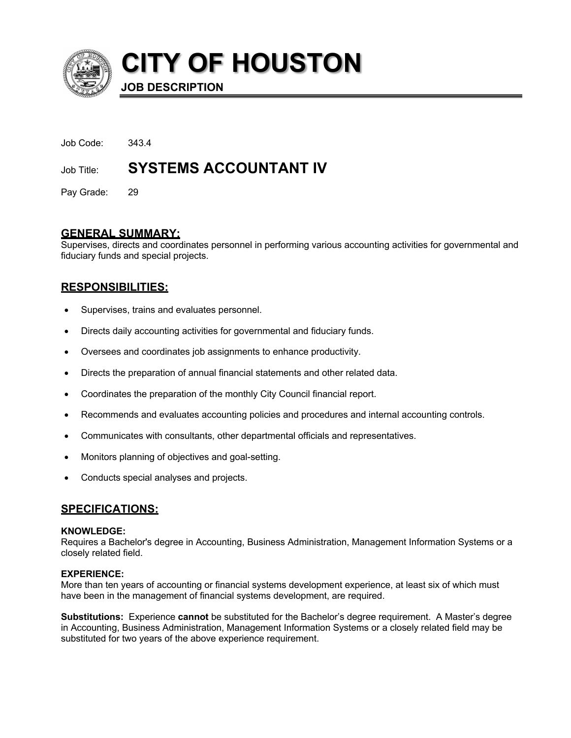

**CITY OF HOUSTON**

**JOB DESCRIPTION**

Job Code: 343.4

# Job Title: **SYSTEMS ACCOUNTANT IV**

Pay Grade: 29

## **GENERAL SUMMARY:**

Supervises, directs and coordinates personnel in performing various accounting activities for governmental and fiduciary funds and special projects.

# **RESPONSIBILITIES:**

- Supervises, trains and evaluates personnel.
- Directs daily accounting activities for governmental and fiduciary funds.
- Oversees and coordinates job assignments to enhance productivity.
- Directs the preparation of annual financial statements and other related data.
- Coordinates the preparation of the monthly City Council financial report.
- Recommends and evaluates accounting policies and procedures and internal accounting controls.
- Communicates with consultants, other departmental officials and representatives.
- Monitors planning of objectives and goal-setting.
- Conducts special analyses and projects.

## **SPECIFICATIONS:**

#### **KNOWLEDGE:**

Requires a Bachelor's degree in Accounting, Business Administration, Management Information Systems or a closely related field.

#### **EXPERIENCE:**

More than ten years of accounting or financial systems development experience, at least six of which must have been in the management of financial systems development, are required.

**Substitutions:** Experience **cannot** be substituted for the Bachelor's degree requirement. A Master's degree in Accounting, Business Administration, Management Information Systems or a closely related field may be substituted for two years of the above experience requirement.